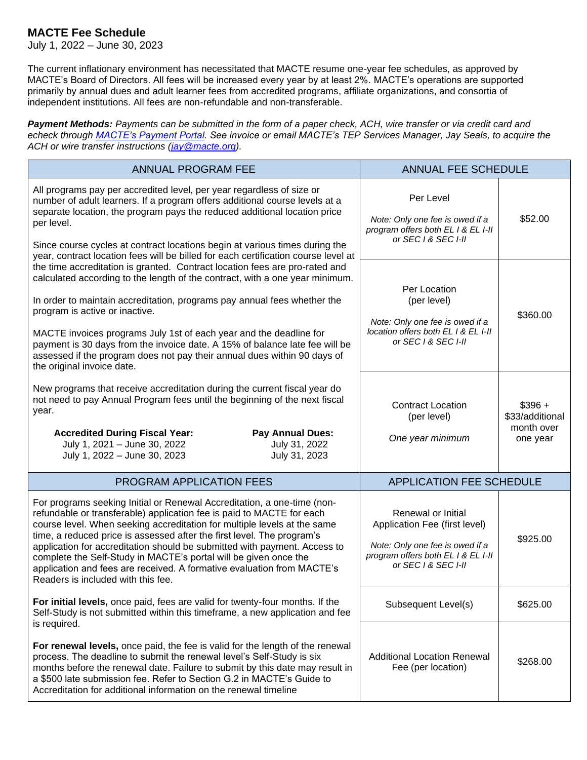## **MACTE Fee Schedule**

July 1, 2022 – June 30, 2023

The current inflationary environment has necessitated that MACTE resume one-year fee schedules, as approved by MACTE's Board of Directors. All fees will be increased every year by at least 2%. MACTE's operations are supported primarily by annual dues and adult learner fees from accredited programs, affiliate organizations, and consortia of independent institutions. All fees are non-refundable and non-transferable.

*Payment Methods: Payments can be submitted in the form of a paper check, ACH, wire transfer or via credit card and echeck through [MACTE's Payment Portal.](https://www.macte.org/payment-portal/) See invoice or email MACTE's TEP Services Manager, Jay Seals, to acquire the ACH or wire transfer instructions [\(jay@macte.org\)](mailto:jay@macte.org).*

| <b>ANNUAL PROGRAM FEE</b>                                                                                                                                                                                                                                                                                                                                                                                                                                                                                                                                                                                                                                                                                                                                                                                                                                                                                                                                        | <b>ANNUAL FEE SCHEDULE</b>                                                                                                                          |                                                       |
|------------------------------------------------------------------------------------------------------------------------------------------------------------------------------------------------------------------------------------------------------------------------------------------------------------------------------------------------------------------------------------------------------------------------------------------------------------------------------------------------------------------------------------------------------------------------------------------------------------------------------------------------------------------------------------------------------------------------------------------------------------------------------------------------------------------------------------------------------------------------------------------------------------------------------------------------------------------|-----------------------------------------------------------------------------------------------------------------------------------------------------|-------------------------------------------------------|
| All programs pay per accredited level, per year regardless of size or<br>number of adult learners. If a program offers additional course levels at a<br>separate location, the program pays the reduced additional location price<br>per level.<br>Since course cycles at contract locations begin at various times during the<br>year, contract location fees will be billed for each certification course level at<br>the time accreditation is granted. Contract location fees are pro-rated and<br>calculated according to the length of the contract, with a one year minimum.<br>In order to maintain accreditation, programs pay annual fees whether the<br>program is active or inactive.<br>MACTE invoices programs July 1st of each year and the deadline for<br>payment is 30 days from the invoice date. A 15% of balance late fee will be<br>assessed if the program does not pay their annual dues within 90 days of<br>the original invoice date. | Per Level<br>Note: Only one fee is owed if a<br>program offers both EL I & EL I-II<br>or SEC 1 & SEC I-II                                           | \$52.00                                               |
|                                                                                                                                                                                                                                                                                                                                                                                                                                                                                                                                                                                                                                                                                                                                                                                                                                                                                                                                                                  | Per Location<br>(per level)<br>Note: Only one fee is owed if a<br>location offers both EL   & EL I-II<br>or SEC 1 & SEC I-II                        | \$360.00                                              |
| New programs that receive accreditation during the current fiscal year do<br>not need to pay Annual Program fees until the beginning of the next fiscal<br>year.<br><b>Accredited During Fiscal Year:</b><br><b>Pay Annual Dues:</b><br>July 1, 2021 - June 30, 2022<br>July 31, 2022<br>July 31, 2023<br>July 1, 2022 - June 30, 2023                                                                                                                                                                                                                                                                                                                                                                                                                                                                                                                                                                                                                           | <b>Contract Location</b><br>(per level)<br>One year minimum                                                                                         | $$396 +$<br>\$33/additional<br>month over<br>one year |
| PROGRAM APPLICATION FEES                                                                                                                                                                                                                                                                                                                                                                                                                                                                                                                                                                                                                                                                                                                                                                                                                                                                                                                                         | <b>APPLICATION FEE SCHEDULE</b>                                                                                                                     |                                                       |
| For programs seeking Initial or Renewal Accreditation, a one-time (non-<br>refundable or transferable) application fee is paid to MACTE for each<br>course level. When seeking accreditation for multiple levels at the same<br>time, a reduced price is assessed after the first level. The program's<br>application for accreditation should be submitted with payment. Access to<br>complete the Self-Study in MACTE's portal will be given once the<br>application and fees are received. A formative evaluation from MACTE's<br>Readers is included with this fee.                                                                                                                                                                                                                                                                                                                                                                                          | Renewal or Initial<br>Application Fee (first level)<br>Note: Only one fee is owed if a<br>program offers both EL I & EL I-II<br>or SEC 1 & SEC I-II | \$925.00                                              |
| For initial levels, once paid, fees are valid for twenty-four months. If the<br>Self-Study is not submitted within this timeframe, a new application and fee<br>is required.                                                                                                                                                                                                                                                                                                                                                                                                                                                                                                                                                                                                                                                                                                                                                                                     | Subsequent Level(s)                                                                                                                                 | \$625.00                                              |
| For renewal levels, once paid, the fee is valid for the length of the renewal<br>process. The deadline to submit the renewal level's Self-Study is six<br>months before the renewal date. Failure to submit by this date may result in<br>a \$500 late submission fee. Refer to Section G.2 in MACTE's Guide to<br>Accreditation for additional information on the renewal timeline                                                                                                                                                                                                                                                                                                                                                                                                                                                                                                                                                                              | <b>Additional Location Renewal</b><br>Fee (per location)                                                                                            | \$268.00                                              |